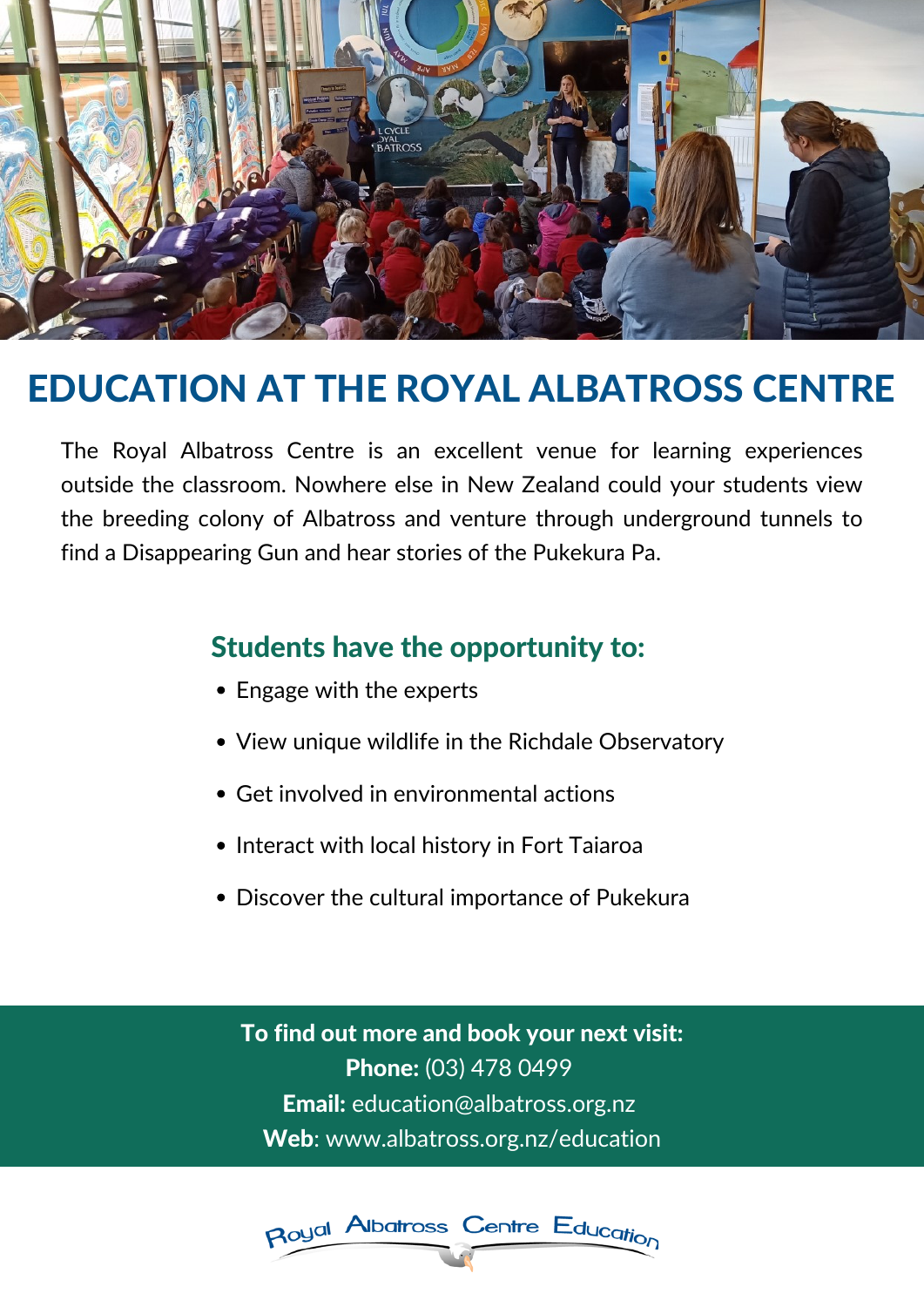

# EDUCATION AT THE ROYAL ALBATROSS CENTRE

The Royal Albatross Centre is an excellent venue for learning experiences outside the classroom. Nowhere else in New Zealand could your students view the breeding colony of Albatross and venture through underground tunnels to find a Disappearing Gun and hear stories of the Pukekura Pa.

- Engage with the experts
- 
- View unique wildlife in the Richdale Observatory
- Get involved in environmental actions
- Interact with local history in Fort Taiaroa
- Discover the cultural importance of Pukekura

To find out more and book your next visit: Phone: (03) 478 0499 Email: education@albatross.org.nz Web: www.albatross.org.nz/education



# Students have the opportunity to: